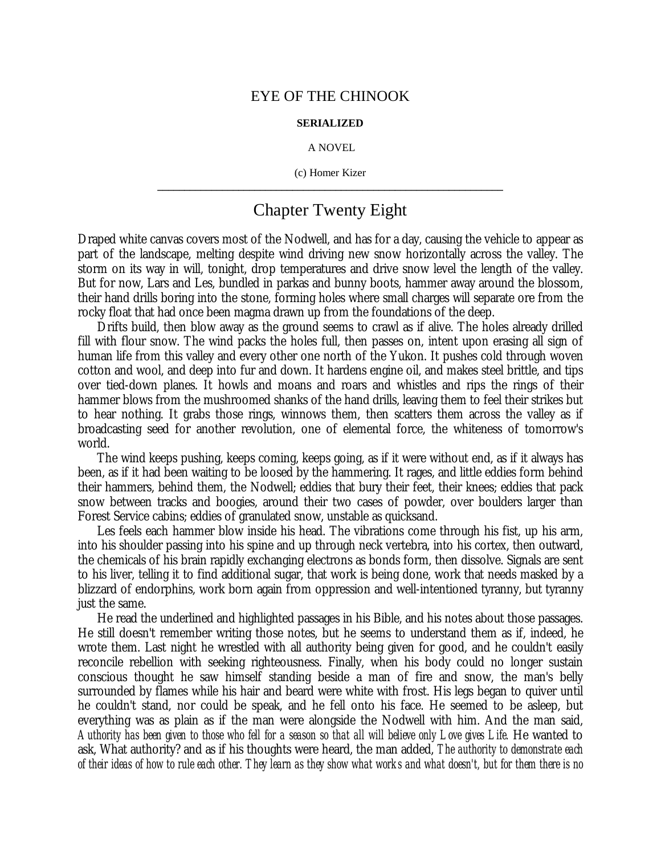## EYE OF THE CHINOOK

## **SERIALIZED**

## A NOVEL

(c) Homer Kizer **\_\_\_\_\_\_\_\_\_\_\_\_\_\_\_\_\_\_\_\_\_\_\_\_\_\_\_\_\_\_\_\_\_\_\_\_\_\_\_\_\_\_\_\_\_\_\_\_\_\_\_\_\_\_\_\_\_\_\_\_\_\_\_\_**

## Chapter Twenty Eight

Draped white canvas covers most of the Nodwell, and has for a day, causing the vehicle to appear as part of the landscape, melting despite wind driving new snow horizontally across the valley. The storm on its way in will, tonight, drop temperatures and drive snow level the length of the valley. But for now, Lars and Les, bundled in parkas and bunny boots, hammer away around the blossom, their hand drills boring into the stone, forming holes where small charges will separate ore from the rocky float that had once been magma drawn up from the foundations of the deep.

Drifts build, then blow away as the ground seems to crawl as if alive. The holes already drilled fill with flour snow. The wind packs the holes full, then passes on, intent upon erasing all sign of human life from this valley and every other one north of the Yukon. It pushes cold through woven cotton and wool, and deep into fur and down. It hardens engine oil, and makes steel brittle, and tips over tied-down planes. It howls and moans and roars and whistles and rips the rings of their hammer blows from the mushroomed shanks of the hand drills, leaving them to feel their strikes but to hear nothing. It grabs those rings, winnows them, then scatters them across the valley as if broadcasting seed for another revolution, one of elemental force, the whiteness of tomorrow's world.

The wind keeps pushing, keeps coming, keeps going, as if it were without end, as if it always has been, as if it had been waiting to be loosed by the hammering. It rages, and little eddies form behind their hammers, behind them, the Nodwell; eddies that bury their feet, their knees; eddies that pack snow between tracks and boogies, around their two cases of powder, over boulders larger than Forest Service cabins; eddies of granulated snow, unstable as quicksand.

Les feels each hammer blow inside his head. The vibrations come through his fist, up his arm, into his shoulder passing into his spine and up through neck vertebra, into his cortex, then outward, the chemicals of his brain rapidly exchanging electrons as bonds form, then dissolve. Signals are sent to his liver, telling it to find additional sugar, that work is being done, work that needs masked by a blizzard of endorphins, work born again from oppression and well-intentioned tyranny, but tyranny just the same.

He read the underlined and highlighted passages in his Bible, and his notes about those passages. He still doesn't remember writing those notes, but he seems to understand them as if, indeed, he wrote them. Last night he wrestled with all authority being given for good, and he couldn't easily reconcile rebellion with seeking righteousness. Finally, when his body could no longer sustain conscious thought he saw himself standing beside a man of fire and snow, the man's belly surrounded by flames while his hair and beard were white with frost. His legs began to quiver until he couldn't stand, nor could be speak, and he fell onto his face. He seemed to be asleep, but everything was as plain as if the man were alongside the Nodwell with him. And the man said, *Authority has been given to those who fell for a season so that all will believe only Love gives Life.* He wanted to ask, What authority? and as if his thoughts were heard, the man added, *The authority to demonstrate each of their ideas of how to rule each other. They learn as they show what works and what doesn't, but for them there is no*